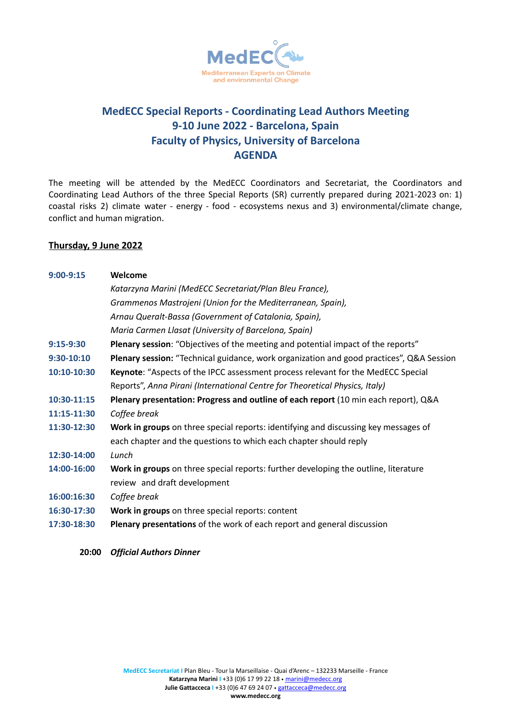

## **MedECC Special Reports - Coordinating Lead Authors Meeting 9-10 June 2022 - Barcelona, Spain Faculty of Physics, University of Barcelona AGENDA**

The meeting will be attended by the MedECC Coordinators and Secretariat, the Coordinators and Coordinating Lead Authors of the three Special Reports (SR) currently prepared during 2021-2023 on: 1) coastal risks 2) climate water - energy - food - ecosystems nexus and 3) environmental/climate change, conflict and human migration.

## **Thursday, 9 June 2022**

| $9:00-9:15$  | Welcome                                                                                  |
|--------------|------------------------------------------------------------------------------------------|
|              | Katarzyna Marini (MedECC Secretariat/Plan Bleu France),                                  |
|              | Grammenos Mastrojeni (Union for the Mediterranean, Spain),                               |
|              | Arnau Queralt-Bassa (Government of Catalonia, Spain),                                    |
|              | Maria Carmen Llasat (University of Barcelona, Spain)                                     |
| $9:15-9:30$  | Plenary session: "Objectives of the meeting and potential impact of the reports"         |
| $9:30-10:10$ | Plenary session: "Technical guidance, work organization and good practices", Q&A Session |
| 10:10-10:30  | Keynote: "Aspects of the IPCC assessment process relevant for the MedECC Special         |
|              | Reports", Anna Pirani (International Centre for Theoretical Physics, Italy)              |
| 10:30-11:15  | Plenary presentation: Progress and outline of each report (10 min each report), Q&A      |
| 11:15-11:30  | Coffee break                                                                             |
| 11:30-12:30  | Work in groups on three special reports: identifying and discussing key messages of      |
|              | each chapter and the questions to which each chapter should reply                        |
| 12:30-14:00  | Lunch                                                                                    |
| 14:00-16:00  | Work in groups on three special reports: further developing the outline, literature      |
|              | review and draft development                                                             |
| 16:00:16:30  | Coffee break                                                                             |
| 16:30-17:30  | Work in groups on three special reports: content                                         |
| 17:30-18:30  | Plenary presentations of the work of each report and general discussion                  |
|              |                                                                                          |

**20:00** *Official Authors Dinner*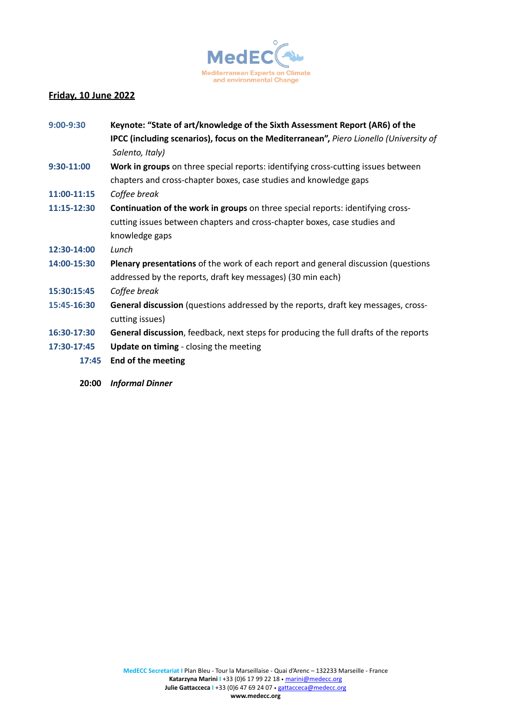

## **Friday, 10 June 2022**

| $9:00-9:30$  | Keynote: "State of art/knowledge of the Sixth Assessment Report (AR6) of the           |
|--------------|----------------------------------------------------------------------------------------|
|              | IPCC (including scenarios), focus on the Mediterranean", Piero Lionello (University of |
|              | Salento, Italy)                                                                        |
| $9:30-11:00$ | Work in groups on three special reports: identifying cross-cutting issues between      |
|              | chapters and cross-chapter boxes, case studies and knowledge gaps                      |
| 11:00-11:15  | Coffee break                                                                           |
| 11:15-12:30  | Continuation of the work in groups on three special reports: identifying cross-        |
|              | cutting issues between chapters and cross-chapter boxes, case studies and              |
|              | knowledge gaps                                                                         |
| 12:30-14:00  | Lunch                                                                                  |
| 14:00-15:30  | Plenary presentations of the work of each report and general discussion (questions     |
|              | addressed by the reports, draft key messages) (30 min each)                            |
| 15:30:15:45  | Coffee break                                                                           |
| 15:45-16:30  | General discussion (questions addressed by the reports, draft key messages, cross-     |
|              | cutting issues)                                                                        |
| 16:30-17:30  | General discussion, feedback, next steps for producing the full drafts of the reports  |
| 17:30-17:45  | <b>Update on timing - closing the meeting</b>                                          |
| 17:45        | <b>End of the meeting</b>                                                              |
| 20:00        | <b>Informal Dinner</b>                                                                 |